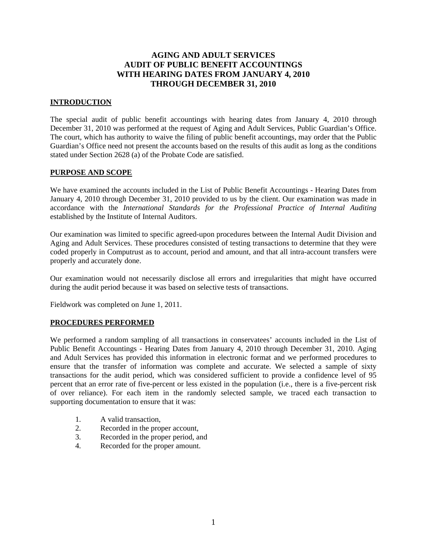# **AGING AND ADULT SERVICES AUDIT OF PUBLIC BENEFIT ACCOUNTINGS WITH HEARING DATES FROM JANUARY 4, 2010 THROUGH DECEMBER 31, 2010**

### **INTRODUCTION**

The special audit of public benefit accountings with hearing dates from January 4, 2010 through December 31, 2010 was performed at the request of Aging and Adult Services, Public Guardian's Office. The court, which has authority to waive the filing of public benefit accountings, may order that the Public Guardian's Office need not present the accounts based on the results of this audit as long as the conditions stated under Section 2628 (a) of the Probate Code are satisfied.

#### **PURPOSE AND SCOPE**

We have examined the accounts included in the List of Public Benefit Accountings - Hearing Dates from January 4, 2010 through December 31, 2010 provided to us by the client. Our examination was made in accordance with the *International Standards for the Professional Practice of Internal Auditing* established by the Institute of Internal Auditors.

Our examination was limited to specific agreed-upon procedures between the Internal Audit Division and Aging and Adult Services. These procedures consisted of testing transactions to determine that they were coded properly in Computrust as to account, period and amount, and that all intra-account transfers were properly and accurately done.

Our examination would not necessarily disclose all errors and irregularities that might have occurred during the audit period because it was based on selective tests of transactions.

Fieldwork was completed on June 1, 2011.

#### **PROCEDURES PERFORMED**

We performed a random sampling of all transactions in conservatees' accounts included in the List of Public Benefit Accountings - Hearing Dates from January 4, 2010 through December 31, 2010. Aging and Adult Services has provided this information in electronic format and we performed procedures to ensure that the transfer of information was complete and accurate. We selected a sample of sixty transactions for the audit period, which was considered sufficient to provide a confidence level of 95 percent that an error rate of five-percent or less existed in the population (i.e., there is a five-percent risk of over reliance). For each item in the randomly selected sample, we traced each transaction to supporting documentation to ensure that it was:

- 1. A valid transaction,
- 2. Recorded in the proper account,
- 3. Recorded in the proper period, and
- 4. Recorded for the proper amount.